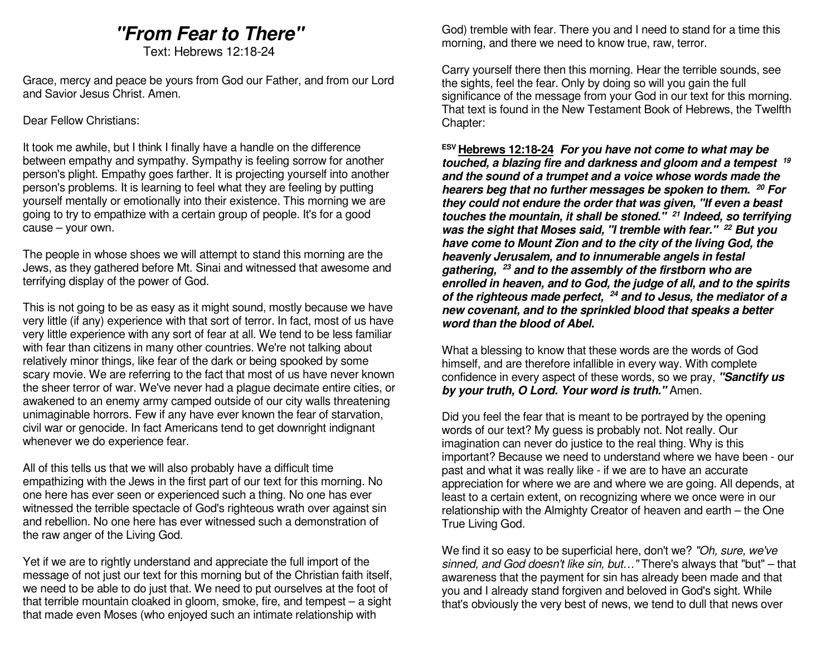# **"From Fear to There"**

Text: Hebrews 12:18-24

Grace, mercy and peace be yours from God our Father, and from our Lord and Savior Jesus Christ. Amen.

#### Dear Fellow Christians:

It took me awhile, but I think I finally have a handle on the difference between empathy and sympathy. Sympathy is feeling sorrow for another person's plight. Empathy goes farther. It is projecting yourself into another person's problems. It is learning to feel what they are feeling by putting yourself mentally or emotionally into their existence. This morning we are going to try to empathize with a certain group of people. It's for a good cause – your own.

The people in whose shoes we will attempt to stand this morning are the Jews, as they gathered before Mt. Sinai and witnessed that awesome and terrifying display of the power of God.

This is not going to be as easy as it might sound, mostly because we have very little (if any) experience with that sort of terror. In fact, most of us have very little experience with any sort of fear at all. We tend to be less familiar with fear than citizens in many other countries. We're not talking about relatively minor things, like fear of the dark or being spooked by some scary movie. We are referring to the fact that most of us have never known the sheer terror of war. We've never had a plague decimate entire cities, or awakened to an enemy army camped outside of our city walls threatening unimaginable horrors. Few if any have ever known the fear of starvation, civil war or genocide. In fact Americans tend to get downright indignant whenever we do experience fear.

All of this tells us that we will also probably have a difficult time empathizing with the Jews in the first part of our text for this morning. No one here has ever seen or experienced such a thing. No one has ever witnessed the terrible spectacle of God's righteous wrath over against sin and rebellion. No one here has ever witnessed such a demonstration of the raw anger of the Living God.

Yet if we are to rightly understand and appreciate the full import of the message of not just our text for this morning but of the Christian faith itself, we need to be able to do just that. We need to put ourselves at the foot of that terrible mountain cloaked in gloom, smoke, fire, and tempest – a sight that made even Moses (who enjoyed such an intimate relationship with

God) tremble with fear. There you and I need to stand for a time this morning, and there we need to know true, raw, terror.

Carry yourself there then this morning. Hear the terrible sounds, see the sights, feel the fear. Only by doing so will you gain the full significance of the message from your God in our text for this morning. That text is found in the New Testament Book of Hebrews, the Twelfth Chapter:

**ESV Hebrews 12:18-24 For you have not come to what may be touched, a blazing fire and darkness and gloom and a tempest <sup>19</sup> and the sound of a trumpet and a voice whose words made the hearers beg that no further messages be spoken to them. <sup>20</sup> For they could not endure the order that was given, "If even a beast touches the mountain, it shall be stoned." 21 Indeed, so terrifying was the sight that Moses said, "I tremble with fear." 22 But you have come to Mount Zion and to the city of the living God, the heavenly Jerusalem, and to innumerable angels in festal gathering, 23 and to the assembly of the firstborn who are enrolled in heaven, and to God, the judge of all, and to the spirits of the righteous made perfect, 24 and to Jesus, the mediator of a new covenant, and to the sprinkled blood that speaks a better word than the blood of Abel.** 

What a blessing to know that these words are the words of God himself, and are therefore infallible in every way. With complete confidence in every aspect of these words, so we pray, **"Sanctify us by your truth, O Lord. Your word is truth."** Amen.

Did you feel the fear that is meant to be portrayed by the opening words of our text? My guess is probably not. Not really. Our imagination can never do justice to the real thing. Why is this important? Because we need to understand where we have been - our past and what it was really like - if we are to have an accurate appreciation for where we are and where we are going. All depends, at least to a certain extent, on recognizing where we once were in our relationship with the Almighty Creator of heaven and earth – the One True Living God.

We find it so easy to be superficial here, don't we? "Oh, sure, we've sinned, and God doesn't like sin, but..." There's always that "but" - that awareness that the payment for sin has already been made and that you and I already stand forgiven and beloved in God's sight. While that's obviously the very best of news, we tend to dull that news over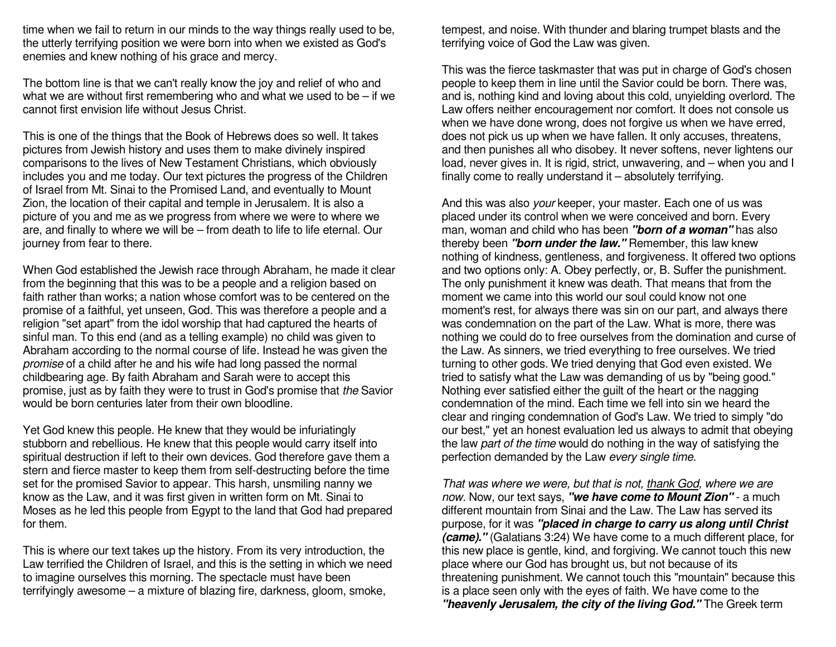time when we fail to return in our minds to the way things really used to be, the utterly terrifying position we were born into when we existed as God's enemies and knew nothing of his grace and mercy.

The bottom line is that we can't really know the joy and relief of who and what we are without first remembering who and what we used to be – if we cannot first envision life without Jesus Christ.

This is one of the things that the Book of Hebrews does so well. It takes pictures from Jewish history and uses them to make divinely inspired comparisons to the lives of New Testament Christians, which obviously includes you and me today. Our text pictures the progress of the Children of Israel from Mt. Sinai to the Promised Land, and eventually to Mount Zion, the location of their capital and temple in Jerusalem. It is also a picture of you and me as we progress from where we were to where we are, and finally to where we will be – from death to life to life eternal. Our journey from fear to there.

When God established the Jewish race through Abraham, he made it clear from the beginning that this was to be a people and a religion based on faith rather than works; a nation whose comfort was to be centered on the promise of a faithful, yet unseen, God. This was therefore a people and a religion "set apart" from the idol worship that had captured the hearts of sinful man. To this end (and as a telling example) no child was given to Abraham according to the normal course of life. Instead he was given the promise of a child after he and his wife had long passed the normal childbearing age. By faith Abraham and Sarah were to accept this promise, just as by faith they were to trust in God's promise that the Savior would be born centuries later from their own bloodline.

Yet God knew this people. He knew that they would be infuriatingly stubborn and rebellious. He knew that this people would carry itself into spiritual destruction if left to their own devices. God therefore gave them a stern and fierce master to keep them from self-destructing before the time set for the promised Savior to appear. This harsh, unsmiling nanny we know as the Law, and it was first given in written form on Mt. Sinai to Moses as he led this people from Egypt to the land that God had prepared for them.

This is where our text takes up the history. From its very introduction, the Law terrified the Children of Israel, and this is the setting in which we need to imagine ourselves this morning. The spectacle must have been terrifyingly awesome – a mixture of blazing fire, darkness, gloom, smoke,

tempest, and noise. With thunder and blaring trumpet blasts and the terrifying voice of God the Law was given.

This was the fierce taskmaster that was put in charge of God's chosen people to keep them in line until the Savior could be born. There was, and is, nothing kind and loving about this cold, unyielding overlord. The Law offers neither encouragement nor comfort. It does not console us when we have done wrong, does not forgive us when we have erred, does not pick us up when we have fallen. It only accuses, threatens, and then punishes all who disobey. It never softens, never lightens our load, never gives in. It is rigid, strict, unwavering, and – when you and I finally come to really understand it – absolutely terrifying.

And this was also your keeper, your master. Each one of us was placed under its control when we were conceived and born. Every man, woman and child who has been **"born of a woman"** has also thereby been **"born under the law."** Remember, this law knew nothing of kindness, gentleness, and forgiveness. It offered two options and two options only: A. Obey perfectly, or, B. Suffer the punishment. The only punishment it knew was death. That means that from the moment we came into this world our soul could know not one moment's rest, for always there was sin on our part, and always there was condemnation on the part of the Law. What is more, there was nothing we could do to free ourselves from the domination and curse of the Law. As sinners, we tried everything to free ourselves. We tried turning to other gods. We tried denying that God even existed. We tried to satisfy what the Law was demanding of us by "being good." Nothing ever satisfied either the guilt of the heart or the nagging condemnation of the mind. Each time we fell into sin we heard the clear and ringing condemnation of God's Law. We tried to simply "do our best," yet an honest evaluation led us always to admit that obeying the law part of the time would do nothing in the way of satisfying the perfection demanded by the Law every single time.

That was where we were, but that is not, thank God, where we are now. Now, our text says, **"we have come to Mount Zion"** - a much different mountain from Sinai and the Law. The Law has served its purpose, for it was **"placed in charge to carry us along until Christ (came)."** (Galatians 3:24) We have come to a much different place, for this new place is gentle, kind, and forgiving. We cannot touch this new place where our God has brought us, but not because of its threatening punishment. We cannot touch this "mountain" because this is a place seen only with the eyes of faith. We have come to the **"heavenly Jerusalem, the city of the living God."** The Greek term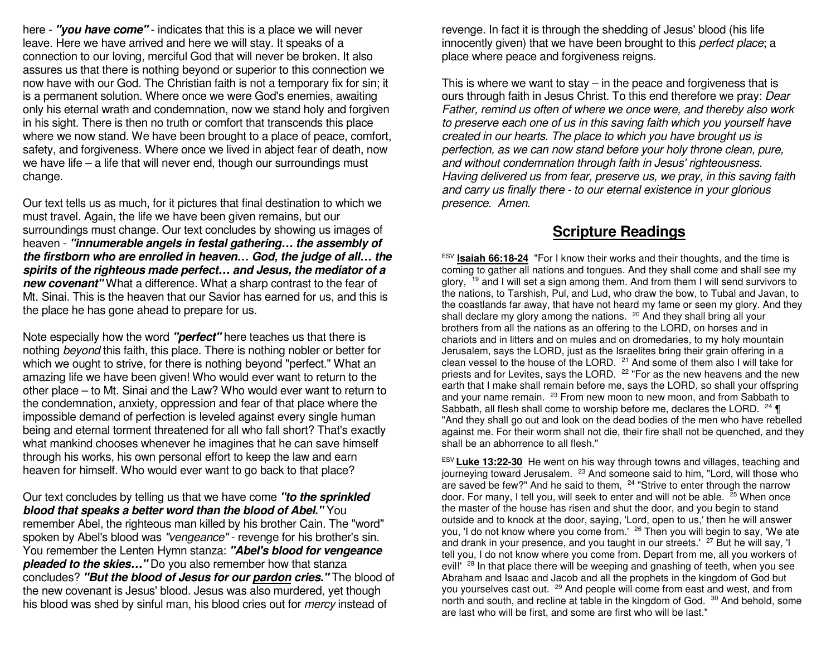here - **"you have come"** - indicates that this is a place we will never leave. Here we have arrived and here we will stay. It speaks of a connection to our loving, merciful God that will never be broken. It also assures us that there is nothing beyond or superior to this connection we now have with our God. The Christian faith is not a temporary fix for sin; it is a permanent solution. Where once we were God's enemies, awaiting only his eternal wrath and condemnation, now we stand holy and forgiven in his sight. There is then no truth or comfort that transcends this place where we now stand. We have been brought to a place of peace, comfort, safety, and forgiveness. Where once we lived in abject fear of death, now we have life – a life that will never end, though our surroundings must change.

Our text tells us as much, for it pictures that final destination to which we must travel. Again, the life we have been given remains, but our surroundings must change. Our text concludes by showing us images of heaven - **"innumerable angels in festal gathering… the assembly of the firstborn who are enrolled in heaven… God, the judge of all… the spirits of the righteous made perfect… and Jesus, the mediator of a new covenant"** What a difference. What a sharp contrast to the fear of Mt. Sinai. This is the heaven that our Savior has earned for us, and this is the place he has gone ahead to prepare for us.

Note especially how the word **"perfect"** here teaches us that there is nothing beyond this faith, this place. There is nothing nobler or better for which we ought to strive, for there is nothing beyond "perfect." What an amazing life we have been given! Who would ever want to return to the other place – to Mt. Sinai and the Law? Who would ever want to return to the condemnation, anxiety, oppression and fear of that place where the impossible demand of perfection is leveled against every single human being and eternal torment threatened for all who fall short? That's exactly what mankind chooses whenever he imagines that he can save himself through his works, his own personal effort to keep the law and earn heaven for himself. Who would ever want to go back to that place?

Our text concludes by telling us that we have come **"to the sprinkled blood that speaks a better word than the blood of Abel."** You remember Abel, the righteous man killed by his brother Cain. The "word" spoken by Abel's blood was "vengeance" - revenge for his brother's sin. You remember the Lenten Hymn stanza: **"Abel's blood for vengeance pleaded to the skies…"** Do you also remember how that stanza concludes? **"But the blood of Jesus for our pardon cries."** The blood of the new covenant is Jesus' blood. Jesus was also murdered, yet though his blood was shed by sinful man, his blood cries out for *mercy* instead of

revenge. In fact it is through the shedding of Jesus' blood (his life innocently given) that we have been brought to this *perfect place*; a place where peace and forgiveness reigns.

This is where we want to stay  $-$  in the peace and forgiveness that is ours through faith in Jesus Christ. To this end therefore we pray: Dear Father, remind us often of where we once were, and thereby also work to preserve each one of us in this saving faith which you yourself have created in our hearts. The place to which you have brought us is perfection, as we can now stand before your holy throne clean, pure, and without condemnation through faith in Jesus' righteousness. Having delivered us from fear, preserve us, we pray, in this saving faith and carry us finally there - to our eternal existence in your glorious presence. Amen.

## **Scripture Readings**

ESV **Isaiah 66:18-24** "For I know their works and their thoughts, and the time is coming to gather all nations and tongues. And they shall come and shall see my glory, <sup>19</sup> and I will set a sign among them. And from them I will send survivors to the nations, to Tarshish, Pul, and Lud, who draw the bow, to Tubal and Javan, to the coastlands far away, that have not heard my fame or seen my glory. And they shall declare my glory among the nations. <sup>20</sup> And they shall bring all your brothers from all the nations as an offering to the LORD, on horses and in chariots and in litters and on mules and on dromedaries, to my holy mountain Jerusalem, says the LORD, just as the Israelites bring their grain offering in a clean vessel to the house of the LORD. <sup>21</sup> And some of them also I will take for priests and for Levites, says the LORD.  $22$  "For as the new heavens and the new earth that I make shall remain before me, says the LORD, so shall your offspring and your name remain. <sup>23</sup> From new moon to new moon, and from Sabbath to Sabbath, all flesh shall come to worship before me, declares the LORD. <sup>24</sup> ¶ "And they shall go out and look on the dead bodies of the men who have rebelled against me. For their worm shall not die, their fire shall not be quenched, and they shall be an abhorrence to all flesh."

ESV **Luke 13:22-30** He went on his way through towns and villages, teaching and journeying toward Jerusalem. <sup>23</sup> And someone said to him, "Lord, will those who are saved be few?" And he said to them, <sup>24</sup> "Strive to enter through the narrow door. For many, I tell you, will seek to enter and will not be able. <sup>25</sup> When once the master of the house has risen and shut the door, and you begin to stand outside and to knock at the door, saying, 'Lord, open to us,' then he will answer you, 'I do not know where you come from.' <sup>26</sup> Then you will begin to say, 'We ate and drank in your presence, and you taught in our streets.' <sup>27</sup> But he will say, 'I tell you, I do not know where you come from. Depart from me, all you workers of evil!" <sup>28</sup> In that place there will be weeping and gnashing of teeth, when you see Abraham and Isaac and Jacob and all the prophets in the kingdom of God but you yourselves cast out. <sup>29</sup> And people will come from east and west, and from north and south, and recline at table in the kingdom of God. <sup>30</sup> And behold, some are last who will be first, and some are first who will be last."